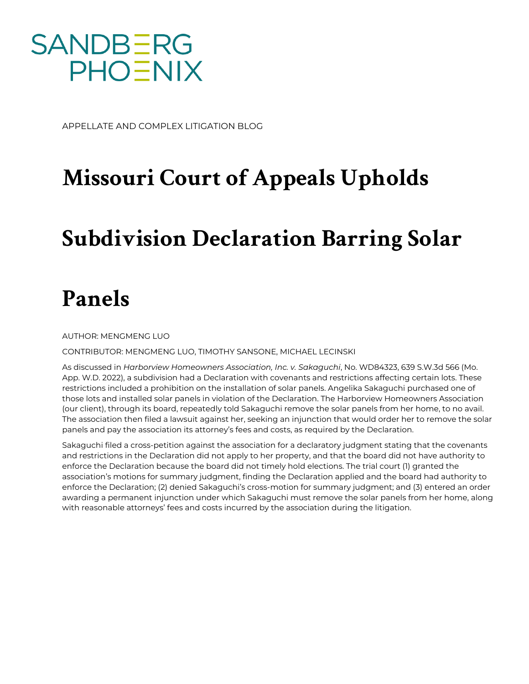

APPELLATE AND COMPLEX LITIGATION BLOG

## **Missouri Court of Appeals Upholds**

## **Subdivision Declaration Barring Solar**

## **Panels**

AUTHOR: MENGMENG LUO

CONTRIBUTOR: MENGMENG LUO, TIMOTHY SANSONE, MICHAEL LECINSKI

As discussed in *Harborview Homeowners Association, Inc. v. Sakaguchi*, No. WD84323, 639 S.W.3d 566 (Mo. App. W.D. 2022), a subdivision had a Declaration with covenants and restrictions affecting certain lots. These restrictions included a prohibition on the installation of solar panels. Angelika Sakaguchi purchased one of those lots and installed solar panels in violation of the Declaration. The Harborview Homeowners Association (our client), through its board, repeatedly told Sakaguchi remove the solar panels from her home, to no avail. The association then filed a lawsuit against her, seeking an injunction that would order her to remove the solar panels and pay the association its attorney's fees and costs, as required by the Declaration.

Sakaguchi filed a cross-petition against the association for a declaratory judgment stating that the covenants and restrictions in the Declaration did not apply to her property, and that the board did not have authority to enforce the Declaration because the board did not timely hold elections. The trial court (1) granted the association's motions for summary judgment, finding the Declaration applied and the board had authority to enforce the Declaration; (2) denied Sakaguchi's cross-motion for summary judgment; and (3) entered an order awarding a permanent injunction under which Sakaguchi must remove the solar panels from her home, along with reasonable attorneys' fees and costs incurred by the association during the litigation.